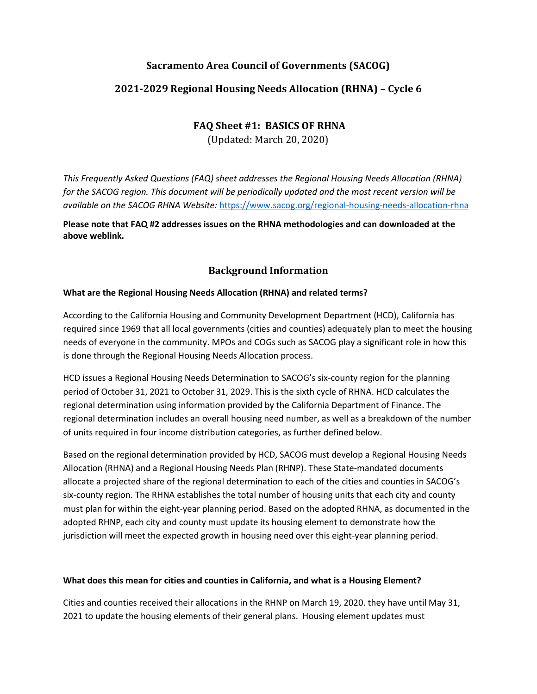# **Sacramento Area Council of Governments (SACOG)**

# **2021-2029 Regional Housing Needs Allocation (RHNA) – Cycle 6**

# **FAQ Sheet #1: BASICS OF RHNA**

(Updated: March 20, 2020)

*This Frequently Asked Questions (FAQ) sheet addresses the Regional Housing Needs Allocation (RHNA) for the SACOG region. This document will be periodically updated and the most recent version will be available on the SACOG RHNA Website:* <https://www.sacog.org/regional-housing-needs-allocation-rhna>

**Please note that FAQ #2 addresses issues on the RHNA methodologies and can downloaded at the above weblink.**

## **Background Information**

### **What are the Regional Housing Needs Allocation (RHNA) and related terms?**

According to the California Housing and Community Development Department (HCD), California has required since 1969 that all local governments (cities and counties) adequately plan to meet the housing needs of everyone in the community. MPOs and COGs such as SACOG play a significant role in how this is done through the Regional Housing Needs Allocation process.

HCD issues a Regional Housing Needs Determination to SACOG's six-county region for the planning period of October 31, 2021 to October 31, 2029. This is the sixth cycle of RHNA. HCD calculates the regional determination using information provided by the California Department of Finance. The regional determination includes an overall housing need number, as well as a breakdown of the number of units required in four income distribution categories, as further defined below.

Based on the regional determination provided by HCD, SACOG must develop a Regional Housing Needs Allocation (RHNA) and a Regional Housing Needs Plan (RHNP). These State-mandated documents allocate a projected share of the regional determination to each of the cities and counties in SACOG's six-county region. The RHNA establishes the total number of housing units that each city and county must plan for within the eight-year planning period. Based on the adopted RHNA, as documented in the adopted RHNP, each city and county must update its housing element to demonstrate how the jurisdiction will meet the expected growth in housing need over this eight-year planning period.

### **What does this mean for cities and counties in California, and what is a Housing Element?**

Cities and counties received their allocations in the RHNP on March 19, 2020. they have until May 31, 2021 to update the housing elements of their general plans. Housing element updates must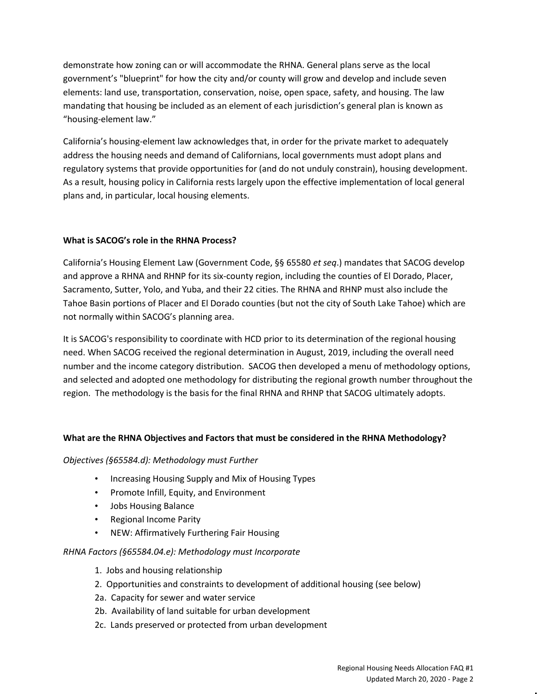demonstrate how zoning can or will accommodate the RHNA. General plans serve as the local government's "blueprint" for how the city and/or county will grow and develop and include seven elements: land use, transportation, conservation, noise, open space, safety, and housing. The law mandating that housing be included as an element of each jurisdiction's general plan is known as "housing-element law."

California's housing-element law acknowledges that, in order for the private market to adequately address the housing needs and demand of Californians, local governments must adopt plans and regulatory systems that provide opportunities for (and do not unduly constrain), housing development. As a result, housing policy in California rests largely upon the effective implementation of local general plans and, in particular, local housing elements.

### **What is SACOG's role in the RHNA Process?**

California's Housing Element Law (Government Code, §§ 65580 *et seq*.) mandates that SACOG develop and approve a RHNA and RHNP for its six-county region, including the counties of El Dorado, Placer, Sacramento, Sutter, Yolo, and Yuba, and their 22 cities. The RHNA and RHNP must also include the Tahoe Basin portions of Placer and El Dorado counties (but not the city of South Lake Tahoe) which are not normally within SACOG's planning area.

It is SACOG's responsibility to coordinate with HCD prior to its determination of the regional housing need. When SACOG received the regional determination in August, 2019, including the overall need number and the income category distribution. SACOG then developed a menu of methodology options, and selected and adopted one methodology for distributing the regional growth number throughout the region. The methodology is the basis for the final RHNA and RHNP that SACOG ultimately adopts.

### **What are the RHNA Objectives and Factors that must be considered in the RHNA Methodology?**

### *Objectives (§65584.d): Methodology must Further*

- Increasing Housing Supply and Mix of Housing Types
- Promote Infill, Equity, and Environment
- Jobs Housing Balance
- Regional Income Parity
- NEW: Affirmatively Furthering Fair Housing

### *RHNA Factors (§65584.04.e): Methodology must Incorporate*

- 1. Jobs and housing relationship
- 2. Opportunities and constraints to development of additional housing (see below)
- 2a. Capacity for sewer and water service
- 2b. Availability of land suitable for urban development
- 2c. Lands preserved or protected from urban development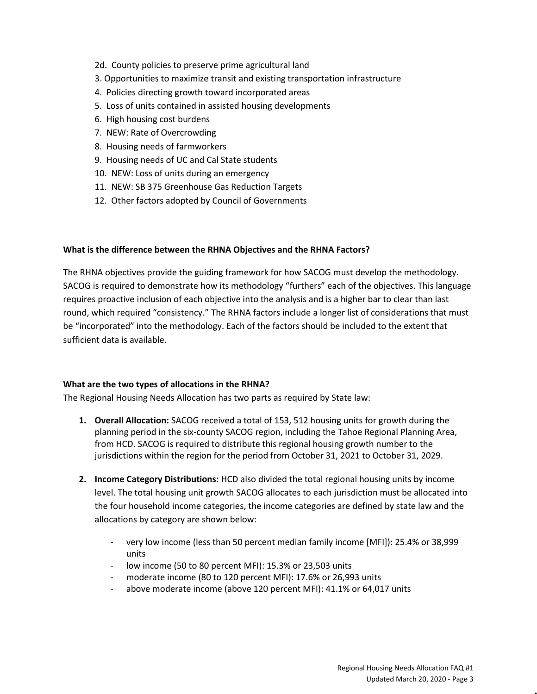- 2d. County policies to preserve prime agricultural land
- 3. Opportunities to maximize transit and existing transportation infrastructure
- 4. Policies directing growth toward incorporated areas
- 5. Loss of units contained in assisted housing developments
- 6. High housing cost burdens
- 7. NEW: Rate of Overcrowding
- 8. Housing needs of farmworkers
- 9. Housing needs of UC and Cal State students
- 10. NEW: Loss of units during an emergency
- 11. NEW: SB 375 Greenhouse Gas Reduction Targets
- 12. Other factors adopted by Council of Governments

#### **What is the difference between the RHNA Objectives and the RHNA Factors?**

The RHNA objectives provide the guiding framework for how SACOG must develop the methodology. SACOG is required to demonstrate how its methodology "furthers" each of the objectives. This language requires proactive inclusion of each objective into the analysis and is a higher bar to clear than last round, which required "consistency." The RHNA factors include a longer list of considerations that must be "incorporated" into the methodology. Each of the factors should be included to the extent that sufficient data is available.

#### **What are the two types of allocations in the RHNA?**

The Regional Housing Needs Allocation has two parts as required by State law:

- **1. Overall Allocation:** SACOG received a total of 153, 512 housing units for growth during the planning period in the six-county SACOG region, including the Tahoe Regional Planning Area, from HCD. SACOG is required to distribute this regional housing growth number to the jurisdictions within the region for the period from October 31, 2021 to October 31, 2029.
- **2. Income Category Distributions:** HCD also divided the total regional housing units by income level. The total housing unit growth SACOG allocates to each jurisdiction must be allocated into the four household income categories, the income categories are defined by state law and the allocations by category are shown below:
	- very low income (less than 50 percent median family income [MFI]): 25.4% or 38,999 units
	- low income (50 to 80 percent MFI): 15.3% or 23,503 units
	- moderate income (80 to 120 percent MFI): 17.6% or 26,993 units
	- above moderate income (above 120 percent MFI): 41.1% or 64,017 units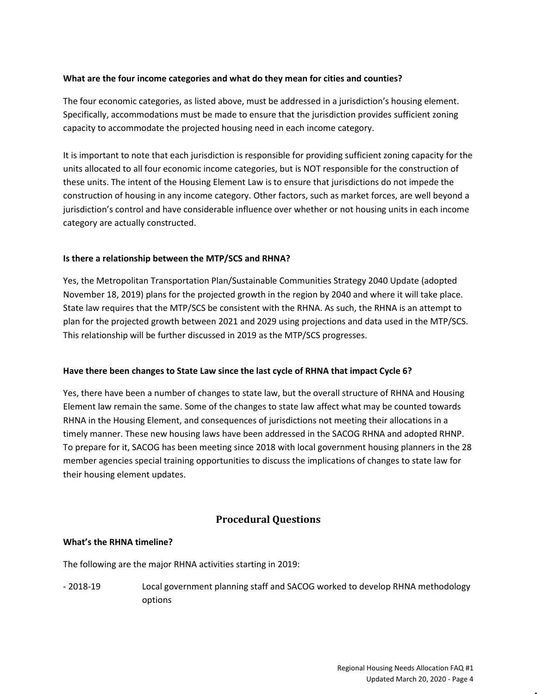### **What are the four income categories and what do they mean for cities and counties?**

The four economic categories, as listed above, must be addressed in a jurisdiction's housing element. Specifically, accommodations must be made to ensure that the jurisdiction provides sufficient zoning capacity to accommodate the projected housing need in each income category.

It is important to note that each jurisdiction is responsible for providing sufficient zoning capacity for the units allocated to all four economic income categories, but is NOT responsible for the construction of these units. The intent of the Housing Element Law is to ensure that jurisdictions do not impede the construction of housing in any income category. Other factors, such as market forces, are well beyond a jurisdiction's control and have considerable influence over whether or not housing units in each income category are actually constructed.

### **Is there a relationship between the MTP/SCS and RHNA?**

Yes, the Metropolitan Transportation Plan/Sustainable Communities Strategy 2040 Update (adopted November 18, 2019) plans for the projected growth in the region by 2040 and where it will take place. State law requires that the MTP/SCS be consistent with the RHNA. As such, the RHNA is an attempt to plan for the projected growth between 2021 and 2029 using projections and data used in the MTP/SCS. This relationship will be further discussed in 2019 as the MTP/SCS progresses.

### **Have there been changes to State Law since the last cycle of RHNA that impact Cycle 6?**

Yes, there have been a number of changes to state law, but the overall structure of RHNA and Housing Element law remain the same. Some of the changes to state law affect what may be counted towards RHNA in the Housing Element, and consequences of jurisdictions not meeting their allocations in a timely manner. These new housing laws have been addressed in the SACOG RHNA and adopted RHNP. To prepare for it, SACOG has been meeting since 2018 with local government housing planners in the 28 member agencies special training opportunities to discuss the implications of changes to state law for their housing element updates.

## **Procedural Questions**

### **What's the RHNA timeline?**

The following are the major RHNA activities starting in 2019:

- 2018-19 Local government planning staff and SACOG worked to develop RHNA methodology options